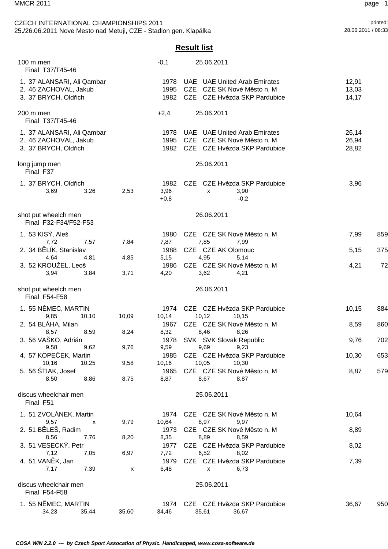## printed:<br>
CZECH INTERNATIONAL CHAMPIONSHIPS 2011<br>
28.06.2011/08:33 Printed:<br>
28.06.2011/08:33 Printed: 25./26.06.2011 Nove Mesto nad Metuji, CZE - Stadion gen. Klapálka

## **Result list**

| 100 m men<br>Final T37/T45-46                                               |       | $-0,1$                 | 25.06.2011                                                                                        |                         |     |
|-----------------------------------------------------------------------------|-------|------------------------|---------------------------------------------------------------------------------------------------|-------------------------|-----|
| 1. 37 ALANSARI, Ali Qambar<br>2. 46 ZACHOVAL, Jakub<br>3. 37 BRYCH, Oldřich |       | 1978<br>1995<br>1982   | <b>UAE</b> UAE United Arab Emirates<br>CZE CZE SK Nové Město n. M<br>CZE CZE Hvězda SKP Pardubice | 12,91<br>13,03<br>14,17 |     |
| 200 m men<br>Final T37/T45-46                                               |       | $+2,4$                 | 25.06.2011                                                                                        |                         |     |
| 1. 37 ALANSARI, Ali Qambar<br>2. 46 ZACHOVAL, Jakub<br>3. 37 BRYCH, Oldřich |       | 1978<br>1995<br>1982   | <b>UAE</b> UAE United Arab Emirates<br>CZE CZE SK Nové Město n. M<br>CZE CZE Hvězda SKP Pardubice | 26,14<br>26,94<br>28,82 |     |
| long jump men<br>Final F37                                                  |       |                        | 25.06.2011                                                                                        |                         |     |
| 1. 37 BRYCH, Oldřich<br>3,26<br>3,69                                        | 2,53  | 1982<br>3,96<br>$+0,8$ | CZE CZE Hvězda SKP Pardubice<br>3,90<br>x<br>$-0,2$                                               | 3,96                    |     |
| shot put wheelch men<br>Final F32-F34/F52-F53                               |       |                        | 26.06.2011                                                                                        |                         |     |
| 1. 53 KISÝ, Aleš<br>7,72<br>7,57                                            | 7,84  | 1980<br>7,87           | CZE CZE SK Nové Město n. M<br>7,85<br>7,99                                                        | 7,99                    | 859 |
| 2. 34 BĚLÍK, Stanislav<br>4,64<br>4,81                                      | 4,85  | 1988<br>5,15           | CZE CZE AK Olomouc<br>4,95<br>5,14                                                                | 5,15                    | 375 |
| 3. 52 KROUŽEL, Leoš<br>3,94<br>3,84                                         | 3,71  | 1986<br>4,20           | CZE CZE SK Nové Město n. M<br>3,62<br>4,21                                                        | 4,21                    | 72  |
| shot put wheelch men<br>Final F54-F58                                       |       |                        | 26.06.2011                                                                                        |                         |     |
| 1. 55 NĚMEC, MARTIN                                                         |       | 1974                   |                                                                                                   |                         |     |
| 9,85<br>10, 10                                                              | 10,09 | 10,14                  | CZE CZE Hvězda SKP Pardubice<br>10,12<br>10,15                                                    | 10,15                   | 884 |
| 2. 54 BLÁHA, Milan                                                          |       | 1967                   | CZE CZE SK Nové Město n. M                                                                        | 8,59                    | 860 |
| 8,57<br>8,59<br>3. 56 VAŠKO, Adrián                                         | 8,24  | 8,32                   | 8,46<br>8,26<br>SVK SVK Slovak Republic                                                           |                         |     |
| 9,62<br>9,58                                                                | 9,76  | 1978<br>9,59           | 9,69<br>9,23                                                                                      | 9,76                    | 702 |
| 4. 57 KOPEČEK, Martin                                                       |       |                        | 1985 CZE CZE Hvězda SKP Pardubice                                                                 | 10,30                   | 653 |
| 10,16<br>10,25                                                              | 9,58  | 10,16                  | 10,05<br>10.30                                                                                    |                         |     |
| 5. 56 ŠTIAK, Josef<br>8,50<br>8,86                                          | 8,75  | 1965<br>8,87           | CZE CZE SK Nové Město n. M<br>8,87<br>8.67                                                        | 8,87                    | 579 |
|                                                                             |       |                        |                                                                                                   |                         |     |
| discus wheelchair men<br>Final F51                                          |       |                        | 25.06.2011                                                                                        |                         |     |
| 1. 51 ZVOLÁNEK, Martin                                                      |       | 1974                   | CZE CZE SK Nové Město n. M                                                                        | 10,64                   |     |
| 9,57<br>x                                                                   | 9,79  | 10,64                  | 8,97<br>9,97                                                                                      |                         |     |
| 2. 51 BĚLEŠ, Radim<br>8,56<br>7,76                                          | 8,20  | 1973<br>8,35           | CZE CZE SK Nové Město n. M<br>8,89<br>8,59                                                        | 8,89                    |     |
| 3. 51 VESECKÝ, Petr                                                         |       | 1977                   | CZE CZE Hvězda SKP Pardubice                                                                      | 8,02                    |     |
| 7,12<br>7,05                                                                | 6,97  | 7,72                   | 6,52<br>8,02                                                                                      |                         |     |
| 4. 51 VANĚK, Jan                                                            |       | 1979                   | CZE CZE Hvězda SKP Pardubice                                                                      | 7,39                    |     |
| 7,17<br>7,39                                                                | X     | 6,48                   | 6,73<br>$\mathsf{x}$                                                                              |                         |     |
| discus wheelchair men<br>Final F54-F58                                      |       |                        | 25.06.2011                                                                                        |                         |     |
| 1. 55 NĚMEC, MARTIN<br>34,23<br>35,44                                       | 35,60 | 34,46                  | 1974 CZE CZE Hvězda SKP Pardubice<br>35,61<br>36,67                                               | 36,67                   | 950 |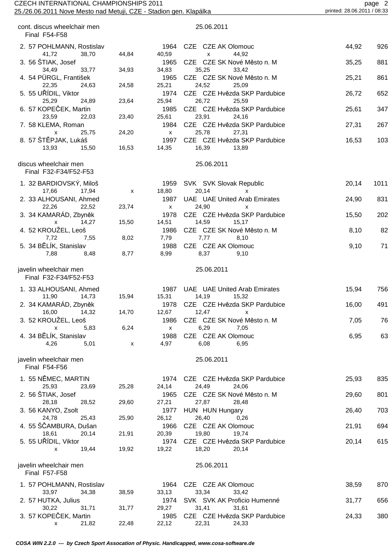| CZECH INTERNATIONAL CHAMPIONSHIPS 2011<br>25./26.06.2011 Nove Mesto nad Metuji, CZE - Stadion gen. Klapálka | page 2<br>printed: 28.06.2011 / 08:33 |                        |                                                                |       |      |
|-------------------------------------------------------------------------------------------------------------|---------------------------------------|------------------------|----------------------------------------------------------------|-------|------|
| cont. discus wheelchair men<br>Final F54-F58                                                                |                                       |                        | 25.06.2011                                                     |       |      |
| 2. 57 POHLMANN, Rostislav                                                                                   |                                       | 1964                   | CZE CZE AK Olomouc                                             | 44,92 | 926  |
| 38,70<br>41,72<br>3. 56 ŠTIAK, Josef                                                                        | 44,84                                 | 40,59<br>1965          | 44,92<br>X<br>CZE CZE SK Nové Město n. M                       | 35,25 | 881  |
| 33,77<br>34,49<br>4. 54 PÜRGL, František<br>22,35<br>24,63                                                  | 34,93<br>24,58                        | 34,83<br>1965<br>25,21 | 35,25<br>33,42<br>CZE CZE SK Nové Město n. M<br>24,52<br>25,09 | 25,21 | 861  |
| 5. 55 UŘÍDIL, Viktor<br>25,29<br>24,89                                                                      | 23,64                                 | 1974<br>25,94          | CZE CZE Hvězda SKP Pardubice<br>26,72<br>25,59                 | 26,72 | 652  |
| 6. 57 KOPEČEK, Martin<br>23,59<br>22,03                                                                     | 23,40                                 | 1985<br>25,61          | CZE CZE Hvězda SKP Pardubice<br>23,91<br>24,16                 | 25,61 | 347  |
| 7. 58 KLEMA, Roman<br>25,75<br>X                                                                            | 24,20                                 | 1984<br>X              | CZE CZE Hvězda SKP Pardubice<br>25,78<br>27,31                 | 27,31 | 267  |
| 8. 57 ŠTĚPJAK, Lukáš<br>13,93<br>15,50                                                                      | 16,53                                 | 1997<br>14,35          | CZE CZE Hvězda SKP Pardubice<br>16,39<br>13,89                 | 16,53 | 103  |
| discus wheelchair men<br>Final F32-F34/F52-F53                                                              |                                       |                        | 25.06.2011                                                     |       |      |
| 1. 32 BARDIOVSKÝ, Miloš<br>17,66<br>17,94                                                                   | X                                     | 1959<br>18,80          | SVK SVK Slovak Republic<br>20,14<br>X                          | 20,14 | 1011 |
| 2. 33 ALHOUSANI, Ahmed<br>22,26<br>22,52                                                                    | 23,74                                 | 1987<br>$\mathsf{x}$   | UAE UAE United Arab Emirates<br>24,90<br>X                     | 24,90 | 831  |
| 3. 34 KAMARÁD, Zbyněk<br>14,27<br>$\mathsf{x}$                                                              | 15,50                                 | 1978<br>14,51          | CZE CZE Hvězda SKP Pardubice<br>14,59<br>15,17                 | 15,50 | 202  |
| 4. 52 KROUŽEL, Leoš<br>7,72<br>7,55                                                                         | 8,02                                  | 1986<br>7,79           | CZE CZE SK Nové Město n. M<br>7,77<br>8,10                     | 8,10  | 82   |
| 5. 34 BĚLÍK, Stanislav<br>7,88<br>8,48                                                                      | 8,77                                  | 1988<br>8,99           | CZE CZE AK Olomouc<br>8,37<br>9,10                             | 9,10  | 71   |
| javelin wheelchair men<br>Final F32-F34/F52-F53                                                             |                                       |                        | 25.06.2011                                                     |       |      |
| 1. 33 ALHOUSANI, Ahmed<br>11,90<br>14,73                                                                    | 15,94                                 | 15,31                  | 1987 UAE UAE United Arab Emirates<br>14,19<br>15,32            | 15,94 | 756  |
| 2. 34 KAMARÁD, Zbyněk<br>16,00<br>14,32                                                                     | 14,70                                 | 1978<br>12,67          | CZE CZE Hvězda SKP Pardubice<br>12,47<br>X                     | 16,00 | 491  |
| 3. 52 KROUŽEL, Leoš<br>5,83<br>$\mathsf{x}$                                                                 | 6,24                                  | 1986<br>$\mathsf{x}$   | CZE CZE SK Nové Město n. M<br>6,29<br>7,05                     | 7,05  | 76   |
| 4. 34 BĚLÍK, Stanislav<br>4,26<br>5,01                                                                      | X                                     | 1988<br>4,97           | CZE CZE AK Olomouc<br>6,08<br>6,95                             | 6,95  | 63   |
| javelin wheelchair men<br>Final F54-F56                                                                     |                                       |                        | 25.06.2011                                                     |       |      |
| 1. 55 NĚMEC, MARTIN<br>25,93<br>23,69                                                                       | 25,28                                 | 1974<br>24,14          | CZE CZE Hvězda SKP Pardubice<br>24,49<br>24,06                 | 25,93 | 835  |
| 2. 56 ŠTIAK, Josef<br>28,18<br>28,52                                                                        | 29,60                                 | 1965<br>27,21          | CZE CZE SK Nové Město n. M<br>27,87<br>28,48                   | 29,60 | 801  |
| 3. 56 KANYO, Zsolt<br>24,78<br>25,43                                                                        | 25,90                                 | 1977<br>26,12          | HUN HUN Hungary<br>26,40<br>0,26                               | 26,40 | 703  |
| 4. 55 ŠČAMBURA, Dušan<br>18,61<br>20,14                                                                     | 21,91                                 | 1966<br>20,39          | CZE CZE AK Olomouc<br>19,80<br>19,74                           | 21,91 | 694  |
| 5. 55 UŘÍDIL, Viktor<br>19,44<br>x                                                                          | 19,92                                 | 1974<br>19,22          | CZE CZE Hvězda SKP Pardubice<br>18,20<br>20,14                 | 20,14 | 615  |
| javelin wheelchair men<br>Final F57-F58                                                                     |                                       |                        | 25.06.2011                                                     |       |      |
| 1. 57 POHLMANN, Rostislav                                                                                   |                                       | 1964                   | CZE CZE AK Olomouc                                             | 38,59 | 870  |
| 33,97<br>34,38<br>2. 57 HUTKA, Julius                                                                       | 38,59                                 | 33,13<br>1974          | 33,34<br>33,42<br>SVK SVK AK Proficio Humenné                  | 31,77 | 656  |
| 30,22<br>31,71<br>3. 57 KOPEČEK, Martin                                                                     | 31,77                                 | 29,27<br>1985          | 31,41<br>31,61<br>CZE CZE Hvězda SKP Pardubice                 | 24,33 | 380  |

 **COSA WIN 2.2.0 --- by Czech Sport Assocation of Physic. Handicapped, www.cosa-software.de**

x 21,82 22,48 22,12 22,31 24,33